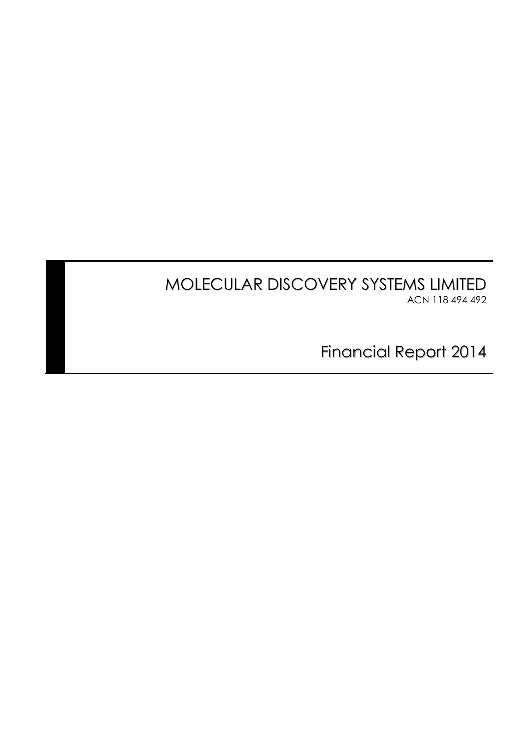# MOLECULAR DISCOVERY SYSTEMS LIMITED ACN 118 494 492

Financial Report 2014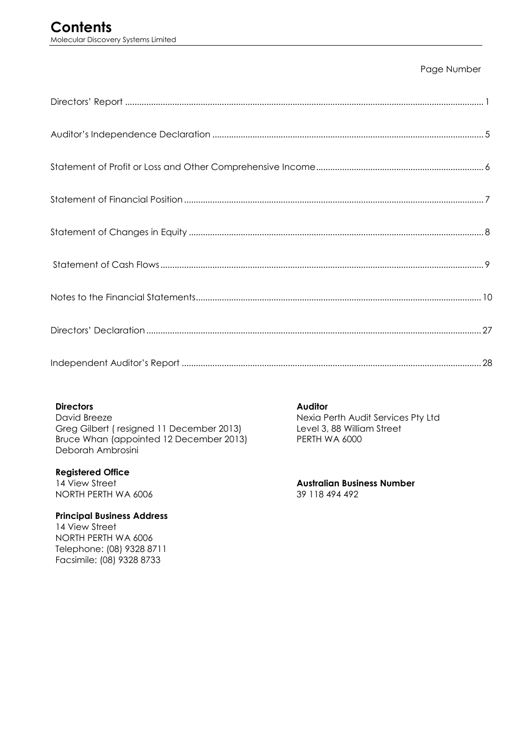## Page Number

## **Directors**

David Breeze Greg Gilbert ( resigned 11 December 2013) Bruce Whan (appointed 12 December 2013) Deborah Ambrosini

## **Registered Office**

14 View Street NORTH PERTH WA 6006

#### **Principal Business Address** 14 View Street NORTH PERTH WA 6006 Telephone: (08) 9328 8711 Facsimile: (08) 9328 8733

**Auditor** Nexia Perth Audit Services Pty Ltd Level 3, 88 William Street PERTH WA 6000

**Australian Business Number** 39 118 494 492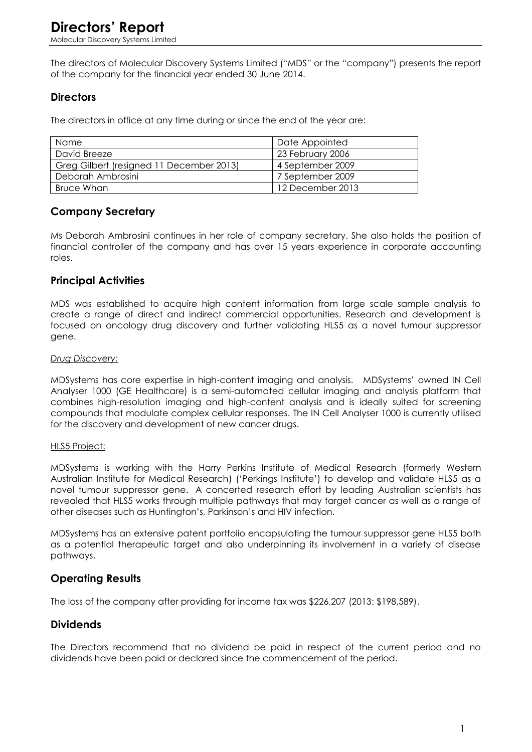The directors of Molecular Discovery Systems Limited ("MDS" or the "company") presents the report of the company for the financial year ended 30 June 2014.

# **Directors**

The directors in office at any time during or since the end of the year are:

| Name                                     | Date Appointed   |
|------------------------------------------|------------------|
| David Breeze                             | 23 February 2006 |
| Greg Gilbert (resigned 11 December 2013) | 4 September 2009 |
| Deborah Ambrosini                        | 7 September 2009 |
| <b>Bruce Whan</b>                        | 12 December 2013 |

# **Company Secretary**

Ms Deborah Ambrosini continues in her role of company secretary. She also holds the position of financial controller of the company and has over 15 years experience in corporate accounting roles.

# **Principal Activities**

MDS was established to acquire high content information from large scale sample analysis to create a range of direct and indirect commercial opportunities. Research and development is focused on oncology drug discovery and further validating HLS5 as a novel tumour suppressor gene.

## *Drug Discovery:*

MDSystems has core expertise in high-content imaging and analysis. MDSystems' owned IN Cell Analyser 1000 (GE Healthcare) is a semi-automated cellular imaging and analysis platform that combines high-resolution imaging and high-content analysis and is ideally suited for screening compounds that modulate complex cellular responses. The IN Cell Analyser 1000 is currently utilised for the discovery and development of new cancer drugs.

## HLS5 Project:

MDSystems is working with the Harry Perkins Institute of Medical Research (formerly Western Australian Institute for Medical Research) ('Perkings Institute') to develop and validate HLS5 as a novel tumour suppressor gene. A concerted research effort by leading Australian scientists has revealed that HLS5 works through multiple pathways that may target cancer as well as a range of other diseases such as Huntington's, Parkinson's and HIV infection.

MDSystems has an extensive patent portfolio encapsulating the tumour suppressor gene HLS5 both as a potential therapeutic target and also underpinning its involvement in a variety of disease pathways.

# **Operating Results**

The loss of the company after providing for income tax was \$226,207 (2013: \$198,589).

## **Dividends**

The Directors recommend that no dividend be paid in respect of the current period and no dividends have been paid or declared since the commencement of the period.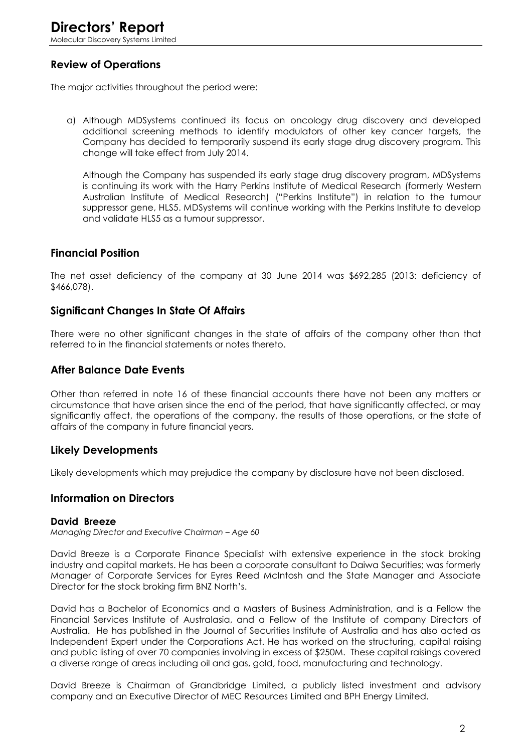# **Directors' Report**

Molecular Discovery Systems Limited

## **Review of Operations**

The major activities throughout the period were:

a) Although MDSystems continued its focus on oncology drug discovery and developed additional screening methods to identify modulators of other key cancer targets, the Company has decided to temporarily suspend its early stage drug discovery program. This change will take effect from July 2014.

Although the Company has suspended its early stage drug discovery program, MDSystems is continuing its work with the Harry Perkins Institute of Medical Research (formerly Western Australian Institute of Medical Research) ("Perkins Institute") in relation to the tumour suppressor gene, HLS5. MDSystems will continue working with the Perkins Institute to develop and validate HLS5 as a tumour suppressor.

## **Financial Position**

The net asset deficiency of the company at 30 June 2014 was \$692,285 (2013: deficiency of \$466,078).

## **Significant Changes In State Of Affairs**

There were no other significant changes in the state of affairs of the company other than that referred to in the financial statements or notes thereto.

## **After Balance Date Events**

Other than referred in note 16 of these financial accounts there have not been any matters or circumstance that have arisen since the end of the period, that have significantly affected, or may significantly affect, the operations of the company, the results of those operations, or the state of affairs of the company in future financial years.

## **Likely Developments**

Likely developments which may prejudice the company by disclosure have not been disclosed.

## **Information on Directors**

#### **David Breeze**

*Managing Director and Executive Chairman - Age 60* 

David Breeze is a Corporate Finance Specialist with extensive experience in the stock broking industry and capital markets. He has been a corporate consultant to Daiwa Securities; was formerly Manager of Corporate Services for Eyres Reed McIntosh and the State Manager and Associate Director for the stock broking firm BNZ North's.

David has a Bachelor of Economics and a Masters of Business Administration, and is a Fellow the Financial Services Institute of Australasia, and a Fellow of the Institute of company Directors of Australia. He has published in the Journal of Securities Institute of Australia and has also acted as Independent Expert under the Corporations Act. He has worked on the structuring, capital raising and public listing of over 70 companies involving in excess of \$250M. These capital raisings covered a diverse range of areas including oil and gas, gold, food, manufacturing and technology.

David Breeze is Chairman of Grandbridge Limited, a publicly listed investment and advisory company and an Executive Director of MEC Resources Limited and BPH Energy Limited.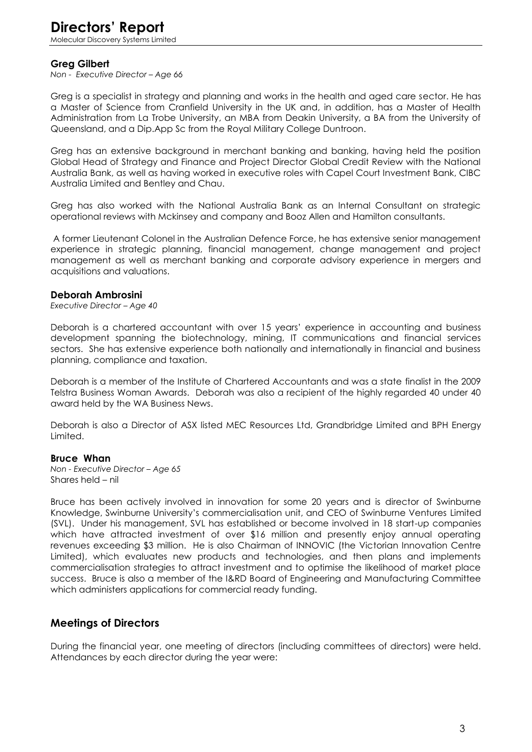# **Directors' Report**

Molecular Discovery Systems Limited

### **Greg Gilbert**

*Non - Executive Director – Age 66*

Greg is a specialist in strategy and planning and works in the health and aged care sector. He has a Master of Science from Cranfield University in the UK and, in addition, has a Master of Health Administration from La Trobe University, an MBA from Deakin University, a BA from the University of Queensland, and a Dip.App Sc from the Royal Military College Duntroon.

Greg has an extensive background in merchant banking and banking, having held the position Global Head of Strategy and Finance and Project Director Global Credit Review with the National Australia Bank, as well as having worked in executive roles with Capel Court Investment Bank, CIBC Australia Limited and Bentley and Chau.

Greg has also worked with the National Australia Bank as an Internal Consultant on strategic operational reviews with Mckinsey and company and Booz Allen and Hamilton consultants.

A former Lieutenant Colonel in the Australian Defence Force, he has extensive senior management experience in strategic planning, financial management, change management and project management as well as merchant banking and corporate advisory experience in mergers and acquisitions and valuations.

### **Deborah Ambrosini**

*Executive Director – Age 40*

Deborah is a chartered accountant with over 15 years' experience in accounting and business development spanning the biotechnology, mining, IT communications and financial services sectors. She has extensive experience both nationally and internationally in financial and business planning, compliance and taxation.

Deborah is a member of the Institute of Chartered Accountants and was a state finalist in the 2009 Telstra Business Woman Awards. Deborah was also a recipient of the highly regarded 40 under 40 award held by the WA Business News.

Deborah is also a Director of ASX listed MEC Resources Ltd, Grandbridge Limited and BPH Energy Limited.

#### **Bruce Whan**

*Non - Executive Director – Age 65* Shares held – nil

Bruce has been actively involved in innovation for some 20 years and is director of Swinburne Knowledge, Swinburne University's commercialisation unit, and CEO of Swinburne Ventures Limited (SVL). Under his management, SVL has established or become involved in 18 start-up companies which have attracted investment of over \$16 million and presently enjoy annual operating revenues exceeding \$3 million. He is also Chairman of INNOVIC (the Victorian Innovation Centre Limited), which evaluates new products and technologies, and then plans and implements commercialisation strategies to attract investment and to optimise the likelihood of market place success. Bruce is also a member of the I&RD Board of Engineering and Manufacturing Committee which administers applications for commercial ready funding.

## **Meetings of Directors**

During the financial year, one meeting of directors (including committees of directors) were held. Attendances by each director during the year were: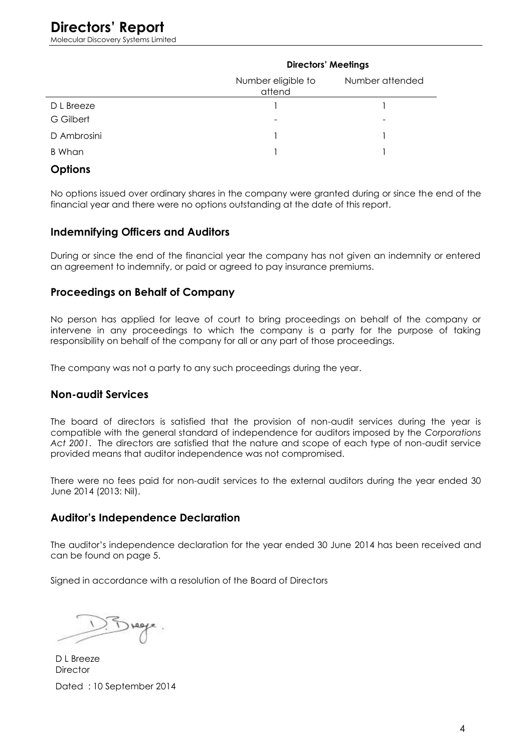|               | <b>Directors' Meetings</b>   |                 |  |
|---------------|------------------------------|-----------------|--|
|               | Number eligible to<br>attend | Number attended |  |
| D L Breeze    |                              |                 |  |
| G Gilbert     | -                            |                 |  |
| D Ambrosini   |                              |                 |  |
| <b>B</b> Whan |                              |                 |  |

### **Options**

No options issued over ordinary shares in the company were granted during or since the end of the financial year and there were no options outstanding at the date of this report.

## **Indemnifying Officers and Auditors**

During or since the end of the financial year the company has not given an indemnity or entered an agreement to indemnify, or paid or agreed to pay insurance premiums.

## **Proceedings on Behalf of Company**

No person has applied for leave of court to bring proceedings on behalf of the company or intervene in any proceedings to which the company is a party for the purpose of taking responsibility on behalf of the company for all or any part of those proceedings.

The company was not a party to any such proceedings during the year.

## **Non-audit Services**

The board of directors is satisfied that the provision of non-audit services during the year is compatible with the general standard of independence for auditors imposed by the *Corporations Act 2001*. The directors are satisfied that the nature and scope of each type of non-audit service provided means that auditor independence was not compromised.

There were no fees paid for non-audit services to the external auditors during the year ended 30 June 2014 (2013: Nil).

## **Auditor's Independence Declaration**

The auditor's independence declaration for the year ended 30 June 2014 has been received and can be found on page 5.

Signed in accordance with a resolution of the Board of Directors

Drege.

D L Breeze **Director** Dated : 10 September 2014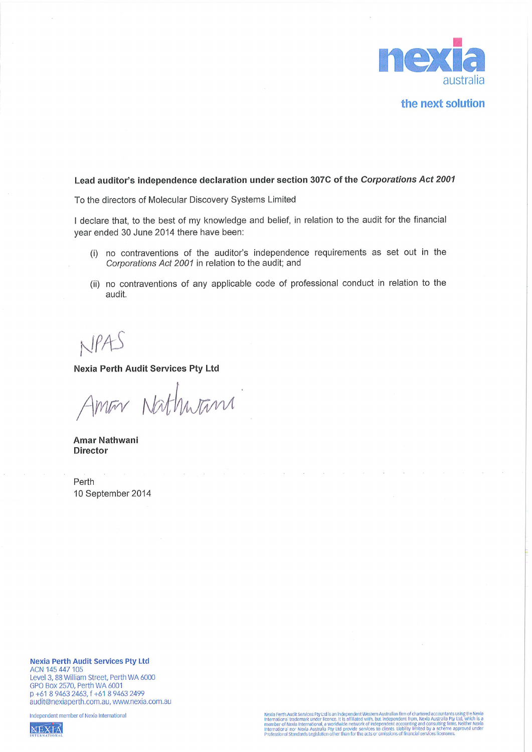

Nexia Perth Audit Services Pty Ltd is an independent Western Australian firm of chartered accountants using the Nexia<br>International trademark under licence. It is affiliated with, but independent from, Nexia Australia Pty

the next solution

#### Lead auditor's independence declaration under section 307C of the Corporations Act 2001

To the directors of Molecular Discovery Systems Limited

I declare that, to the best of my knowledge and belief, in relation to the audit for the financial year ended 30 June 2014 there have been:

- (i) no contraventions of the auditor's independence requirements as set out in the Corporations Act 2001 in relation to the audit; and
- (ii) no contraventions of any applicable code of professional conduct in relation to the audit.

NPAS

#### **Nexia Perth Audit Services Pty Ltd**

Amor Nathwann

**Amar Nathwani Director** 

Perth 10 September 2014

**Nexia Perth Audit Services Pty Ltd** ACN 145 447 105 Level 3, 88 William Street, Perth WA 6000 GPO Box 2570, Perth WA 6001 p+61894632463, f+61894632499 audit@nexiaperth.com.au, www.nexia.com.au

Independent member of Nexia International

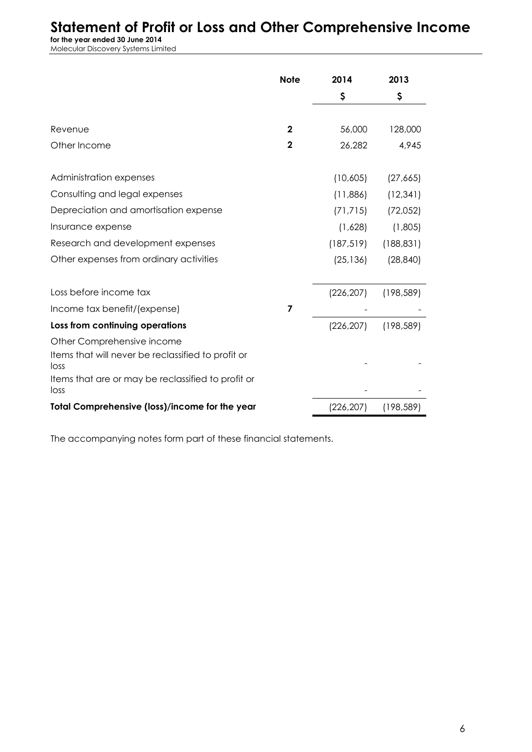# **Statement of Profit or Loss and Other Comprehensive Income**

**for the year ended 30 June 2014**

Molecular Discovery Systems Limited

|                                                                                          | <b>Note</b>  | 2014       | 2013       |
|------------------------------------------------------------------------------------------|--------------|------------|------------|
|                                                                                          |              | \$         | \$         |
|                                                                                          |              |            |            |
| Revenue                                                                                  | $\mathbf{2}$ | 56,000     | 128,000    |
| Other Income                                                                             | $\mathbf 2$  | 26,282     | 4,945      |
| Administration expenses                                                                  |              | (10,605)   | (27,665)   |
| Consulting and legal expenses                                                            |              | (11,886)   | (12, 341)  |
| Depreciation and amortisation expense                                                    |              | (71, 715)  | (72,052)   |
| Insurance expense                                                                        |              | (1,628)    | (1,805)    |
| Research and development expenses                                                        |              | (187, 519) | (188, 831) |
| Other expenses from ordinary activities                                                  |              | (25, 136)  | (28, 840)  |
| Loss before income tax                                                                   |              | (226, 207) | (198, 589) |
| Income tax benefit/(expense)                                                             | 7            |            |            |
| Loss from continuing operations                                                          |              | (226, 207) | (198, 589) |
| Other Comprehensive income<br>Items that will never be reclassified to profit or<br>loss |              |            |            |
| Items that are or may be reclassified to profit or<br>loss                               |              |            |            |
| Total Comprehensive (loss)/income for the year                                           |              | (226, 207) | (198, 589) |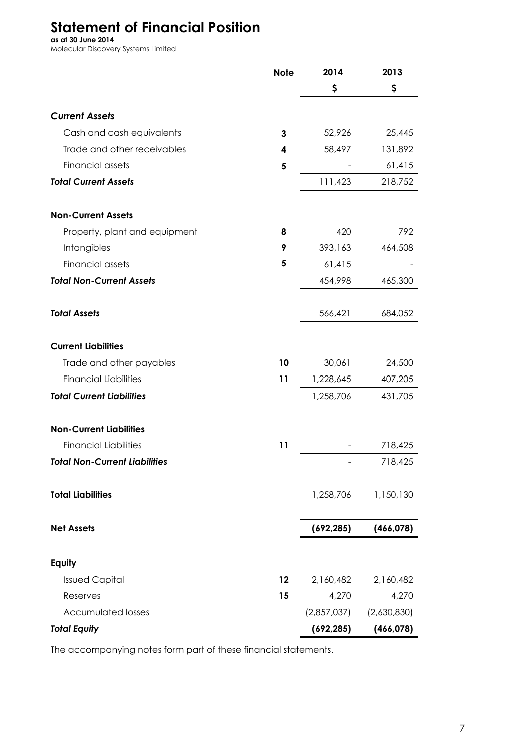# **Statement of Financial Position**

**as at 30 June 2014**

Molecular Discovery Systems Limited

|                                      | <b>Note</b> | 2014        | 2013        |
|--------------------------------------|-------------|-------------|-------------|
|                                      |             | \$          | \$          |
| <b>Current Assets</b>                |             |             |             |
| Cash and cash equivalents            | 3           | 52,926      | 25,445      |
| Trade and other receivables          | 4           | 58,497      | 131,892     |
| <b>Financial assets</b>              | 5           |             | 61,415      |
| <b>Total Current Assets</b>          |             | 111,423     | 218,752     |
| <b>Non-Current Assets</b>            |             |             |             |
| Property, plant and equipment        | 8           | 420         | 792         |
| Intangibles                          | 9           | 393,163     | 464,508     |
| <b>Financial assets</b>              | 5           | 61,415      |             |
| <b>Total Non-Current Assets</b>      |             | 454,998     | 465,300     |
| <b>Total Assets</b>                  |             | 566,421     | 684,052     |
| <b>Current Liabilities</b>           |             |             |             |
| Trade and other payables             | 10          | 30,061      | 24,500      |
| <b>Financial Liabilities</b>         | 11          | 1,228,645   | 407,205     |
| <b>Total Current Liabilities</b>     |             | 1,258,706   | 431,705     |
| <b>Non-Current Liabilities</b>       |             |             |             |
| <b>Financial Liabilities</b>         | 11          |             | 718,425     |
| <b>Total Non-Current Liabilities</b> |             |             | 718,425     |
| <b>Total Liabilities</b>             |             | 1,258,706   | 1,150,130   |
| <b>Net Assets</b>                    |             | (692, 285)  | (466, 078)  |
|                                      |             |             |             |
| Equity                               |             |             |             |
| <b>Issued Capital</b>                | 12          | 2,160,482   | 2,160,482   |
| Reserves                             | 15          | 4,270       | 4,270       |
| <b>Accumulated losses</b>            |             | (2,857,037) | (2,630,830) |
| <b>Total Equity</b>                  |             | (692, 285)  | (466, 078)  |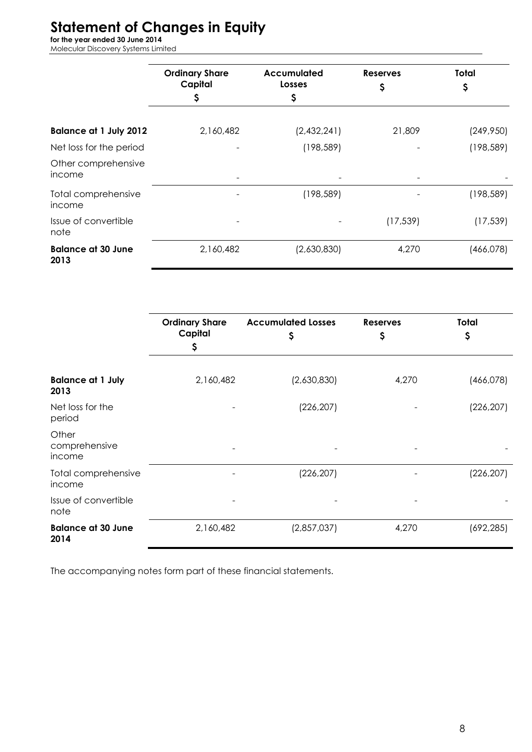# **Statement of Changes in Equity**

**for the year ended 30 June 2014**

Molecular Discovery Systems Limited

|                                   | <b>Ordinary Share</b><br>Capital<br>\$ | Accumulated<br><b>Losses</b><br>Ş | <b>Reserves</b><br>\$ | <b>Total</b><br>\$ |
|-----------------------------------|----------------------------------------|-----------------------------------|-----------------------|--------------------|
| <b>Balance at 1 July 2012</b>     | 2,160,482                              | (2,432,241)                       | 21,809                | (249, 950)         |
| Net loss for the period           | $\qquad \qquad \blacksquare$           | (198, 589)                        |                       | (198, 589)         |
| Other comprehensive<br>income     | $\overline{\phantom{a}}$               |                                   |                       |                    |
| Total comprehensive<br>income     |                                        | (198, 589)                        |                       | (198, 589)         |
| Issue of convertible<br>note      | -                                      |                                   | (17, 539)             | (17, 539)          |
| <b>Balance at 30 June</b><br>2013 | 2,160,482                              | (2,630,830)                       | 4,270                 | (466, 078)         |

|                                   | <b>Ordinary Share</b><br>Capital<br>\$ | <b>Accumulated Losses</b><br>Ş | <b>Reserves</b><br>\$ | <b>Total</b><br>\$ |
|-----------------------------------|----------------------------------------|--------------------------------|-----------------------|--------------------|
| <b>Balance at 1 July</b><br>2013  | 2,160,482                              | (2,630,830)                    | 4,270                 | (466, 078)         |
| Net loss for the<br>period        |                                        | (226, 207)                     |                       | (226, 207)         |
| Other<br>comprehensive<br>income  |                                        | $\overline{\phantom{a}}$       |                       |                    |
| Total comprehensive<br>income     |                                        | (226, 207)                     |                       | (226, 207)         |
| Issue of convertible<br>note      |                                        |                                |                       |                    |
| <b>Balance at 30 June</b><br>2014 | 2,160,482                              | (2,857,037)                    | 4,270                 | (692, 285)         |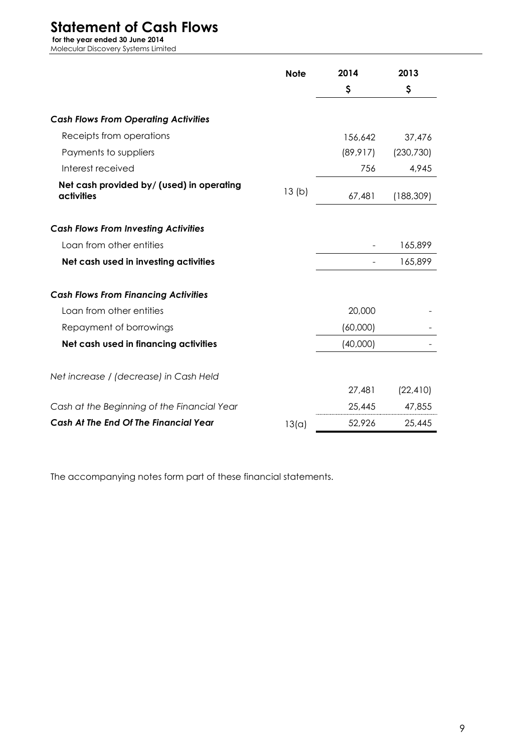# **Statement of Cash Flows**

**for the year ended 30 June 2014** Molecular Discovery Systems Limited

**Note 2014 2013 \$ \$** *Cash Flows From Operating Activities* Receipts from operations and the set of the 156,642 37,476 Payments to suppliers (89,917) (230,730) Interest received 256 2,945 **Net cash provided by/ (used) in operating activities** 13 (b) 67,481 (188,309) *Cash Flows From Investing Activities* Loan from other entities  $\sim$  165,899 **Net cash used in investing activities Net cash used in investing activities** *Cash Flows From Financing Activities* Loan from other entities 20,000 Repayment of borrowings and the state of the Repayment of borrowings and the state of the state  $(60,000)$ **Net cash used in financing activities** (40,000) - *Net increase / (decrease) in Cash Held* 27,481 (22,410) *Cash at the Beginning of the Financial Year* 25,445 47,855 **Cash At The End Of The Financial Year** 13(a) 52,926 25,445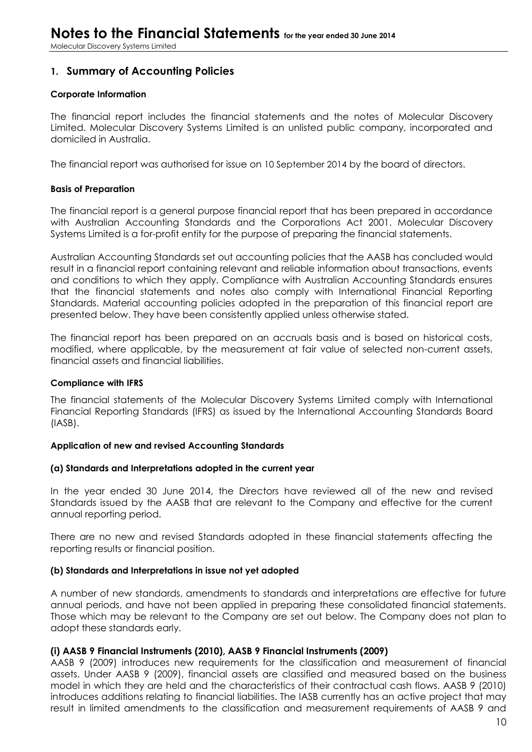# **1. Summary of Accounting Policies**

### **Corporate Information**

The financial report includes the financial statements and the notes of Molecular Discovery Limited. Molecular Discovery Systems Limited is an unlisted public company, incorporated and domiciled in Australia.

The financial report was authorised for issue on 10 September 2014 by the board of directors.

### **Basis of Preparation**

The financial report is a general purpose financial report that has been prepared in accordance with Australian Accounting Standards and the Corporations Act 2001. Molecular Discovery Systems Limited is a for-profit entity for the purpose of preparing the financial statements.

Australian Accounting Standards set out accounting policies that the AASB has concluded would result in a financial report containing relevant and reliable information about transactions, events and conditions to which they apply. Compliance with Australian Accounting Standards ensures that the financial statements and notes also comply with International Financial Reporting Standards. Material accounting policies adopted in the preparation of this financial report are presented below. They have been consistently applied unless otherwise stated.

The financial report has been prepared on an accruals basis and is based on historical costs, modified, where applicable, by the measurement at fair value of selected non-current assets, financial assets and financial liabilities.

#### **Compliance with IFRS**

The financial statements of the Molecular Discovery Systems Limited comply with International Financial Reporting Standards (IFRS) as issued by the International Accounting Standards Board (IASB).

#### **Application of new and revised Accounting Standards**

#### **(a) Standards and Interpretations adopted in the current year**

In the year ended 30 June 2014, the Directors have reviewed all of the new and revised Standards issued by the AASB that are relevant to the Company and effective for the current annual reporting period.

There are no new and revised Standards adopted in these financial statements affecting the reporting results or financial position.

#### **(b) Standards and Interpretations in issue not yet adopted**

A number of new standards, amendments to standards and interpretations are effective for future annual periods, and have not been applied in preparing these consolidated financial statements. Those which may be relevant to the Company are set out below. The Company does not plan to adopt these standards early.

## **(i) AASB 9 Financial Instruments (2010), AASB 9 Financial Instruments (2009)**

AASB 9 (2009) introduces new requirements for the classification and measurement of financial assets. Under AASB 9 (2009), financial assets are classified and measured based on the business model in which they are held and the characteristics of their contractual cash flows. AASB 9 (2010) introduces additions relating to financial liabilities. The IASB currently has an active project that may result in limited amendments to the classification and measurement requirements of AASB 9 and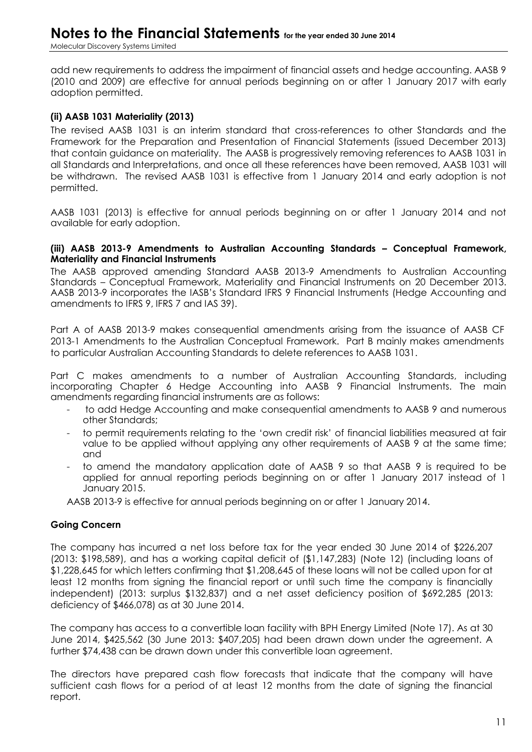add new requirements to address the impairment of financial assets and hedge accounting. AASB 9 (2010 and 2009) are effective for annual periods beginning on or after 1 January 2017 with early adoption permitted.

## **(ii) AASB 1031 Materiality (2013)**

The revised AASB 1031 is an interim standard that cross-references to other Standards and the Framework for the Preparation and Presentation of Financial Statements (issued December 2013) that contain guidance on materiality. The AASB is progressively removing references to AASB 1031 in all Standards and Interpretations, and once all these references have been removed, AASB 1031 will be withdrawn. The revised AASB 1031 is effective from 1 January 2014 and early adoption is not permitted.

AASB 1031 (2013) is effective for annual periods beginning on or after 1 January 2014 and not available for early adoption.

#### **(iii) AASB 2013-9 Amendments to Australian Accounting Standards – Conceptual Framework, Materiality and Financial Instruments**

The AASB approved amending Standard AASB 2013-9 Amendments to Australian Accounting Standards – Conceptual Framework, Materiality and Financial Instruments on 20 December 2013. AASB 2013-9 incorporates the IASB's Standard IFRS 9 Financial Instruments (Hedge Accounting and amendments to IFRS 9, IFRS 7 and IAS 39).

Part A of AASB 2013-9 makes consequential amendments arising from the issuance of AASB CF 2013-1 Amendments to the Australian Conceptual Framework. Part B mainly makes amendments to particular Australian Accounting Standards to delete references to AASB 1031.

Part C makes amendments to a number of Australian Accounting Standards, including incorporating Chapter 6 Hedge Accounting into AASB 9 Financial Instruments. The main amendments regarding financial instruments are as follows:

- to add Hedge Accounting and make consequential amendments to AASB 9 and numerous other Standards;
- to permit requirements relating to the 'own credit risk' of financial liabilities measured at fair value to be applied without applying any other requirements of AASB 9 at the same time; and
- to amend the mandatory application date of AASB 9 so that AASB 9 is required to be applied for annual reporting periods beginning on or after 1 January 2017 instead of 1 January 2015.

AASB 2013-9 is effective for annual periods beginning on or after 1 January 2014.

## **Going Concern**

The company has incurred a net loss before tax for the year ended 30 June 2014 of \$226,207 (2013: \$198,589), and has a working capital deficit of (\$1,147,283) (Note 12) (including loans of \$1,228,645 for which letters confirming that \$1,208,645 of these loans will not be called upon for at least 12 months from signing the financial report or until such time the company is financially independent) (2013: surplus \$132,837) and a net asset deficiency position of \$692,285 (2013: deficiency of \$466,078) as at 30 June 2014.

The company has access to a convertible loan facility with BPH Energy Limited (Note 17). As at 30 June 2014, \$425,562 (30 June 2013: \$407,205) had been drawn down under the agreement. A further \$74,438 can be drawn down under this convertible loan agreement.

The directors have prepared cash flow forecasts that indicate that the company will have sufficient cash flows for a period of at least 12 months from the date of signing the financial report.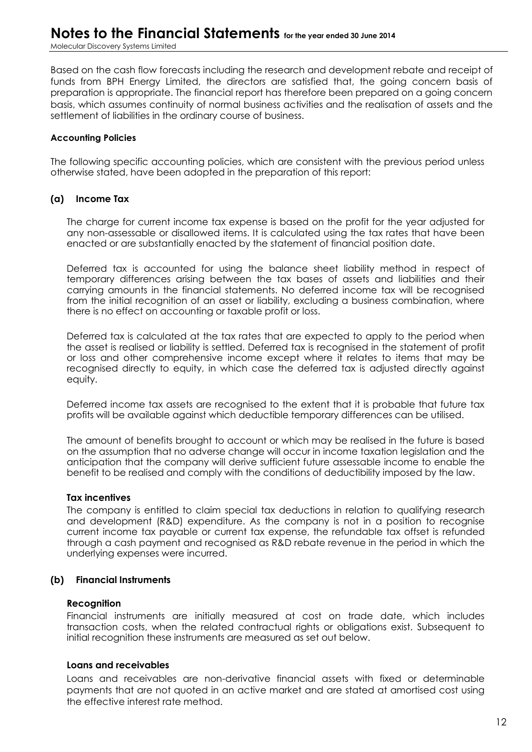Based on the cash flow forecasts including the research and development rebate and receipt of funds from BPH Energy Limited, the directors are satisfied that, the going concern basis of preparation is appropriate. The financial report has therefore been prepared on a going concern basis, which assumes continuity of normal business activities and the realisation of assets and the settlement of liabilities in the ordinary course of business.

## **Accounting Policies**

The following specific accounting policies, which are consistent with the previous period unless otherwise stated, have been adopted in the preparation of this report:

## **(a) Income Tax**

The charge for current income tax expense is based on the profit for the year adjusted for any non-assessable or disallowed items. It is calculated using the tax rates that have been enacted or are substantially enacted by the statement of financial position date.

Deferred tax is accounted for using the balance sheet liability method in respect of temporary differences arising between the tax bases of assets and liabilities and their carrying amounts in the financial statements. No deferred income tax will be recognised from the initial recognition of an asset or liability, excluding a business combination, where there is no effect on accounting or taxable profit or loss.

Deferred tax is calculated at the tax rates that are expected to apply to the period when the asset is realised or liability is settled. Deferred tax is recognised in the statement of profit or loss and other comprehensive income except where it relates to items that may be recognised directly to equity, in which case the deferred tax is adjusted directly against equity.

Deferred income tax assets are recognised to the extent that it is probable that future tax profits will be available against which deductible temporary differences can be utilised.

The amount of benefits brought to account or which may be realised in the future is based on the assumption that no adverse change will occur in income taxation legislation and the anticipation that the company will derive sufficient future assessable income to enable the benefit to be realised and comply with the conditions of deductibility imposed by the law.

## **Tax incentives**

The company is entitled to claim special tax deductions in relation to qualifying research and development (R&D) expenditure. As the company is not in a position to recognise current income tax payable or current tax expense, the refundable tax offset is refunded through a cash payment and recognised as R&D rebate revenue in the period in which the underlying expenses were incurred.

## **(b) Financial Instruments**

## **Recognition**

Financial instruments are initially measured at cost on trade date, which includes transaction costs, when the related contractual rights or obligations exist. Subsequent to initial recognition these instruments are measured as set out below.

## **Loans and receivables**

Loans and receivables are non-derivative financial assets with fixed or determinable payments that are not quoted in an active market and are stated at amortised cost using the effective interest rate method.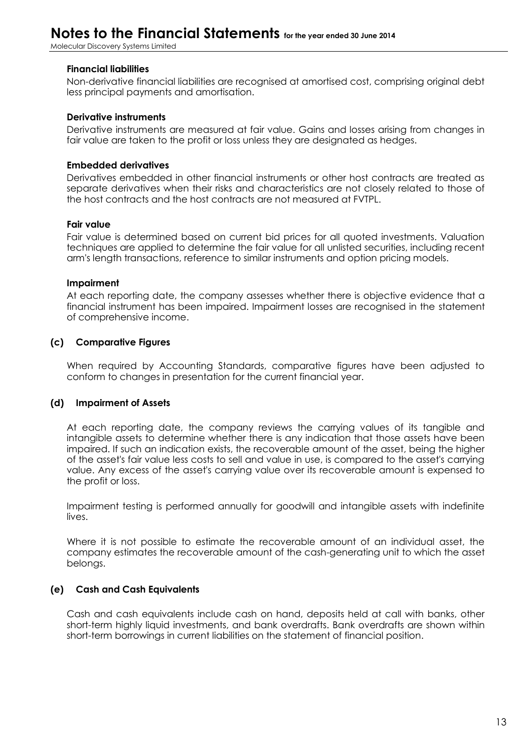### **Financial liabilities**

Non-derivative financial liabilities are recognised at amortised cost, comprising original debt less principal payments and amortisation.

### **Derivative instruments**

Derivative instruments are measured at fair value. Gains and losses arising from changes in fair value are taken to the profit or loss unless they are designated as hedges.

### **Embedded derivatives**

Derivatives embedded in other financial instruments or other host contracts are treated as separate derivatives when their risks and characteristics are not closely related to those of the host contracts and the host contracts are not measured at FVTPL.

### **Fair value**

Fair value is determined based on current bid prices for all quoted investments. Valuation techniques are applied to determine the fair value for all unlisted securities, including recent arm's length transactions, reference to similar instruments and option pricing models.

### **Impairment**

At each reporting date, the company assesses whether there is objective evidence that a financial instrument has been impaired. Impairment losses are recognised in the statement of comprehensive income.

## **(c) Comparative Figures**

When required by Accounting Standards, comparative figures have been adjusted to conform to changes in presentation for the current financial year.

## **(d) Impairment of Assets**

At each reporting date, the company reviews the carrying values of its tangible and intangible assets to determine whether there is any indication that those assets have been impaired. If such an indication exists, the recoverable amount of the asset, being the higher of the asset's fair value less costs to sell and value in use, is compared to the asset's carrying value. Any excess of the asset's carrying value over its recoverable amount is expensed to the profit or loss.

Impairment testing is performed annually for goodwill and intangible assets with indefinite lives.

Where it is not possible to estimate the recoverable amount of an individual asset, the company estimates the recoverable amount of the cash-generating unit to which the asset belongs.

## **(e) Cash and Cash Equivalents**

Cash and cash equivalents include cash on hand, deposits held at call with banks, other short-term highly liquid investments, and bank overdrafts. Bank overdrafts are shown within short-term borrowings in current liabilities on the statement of financial position.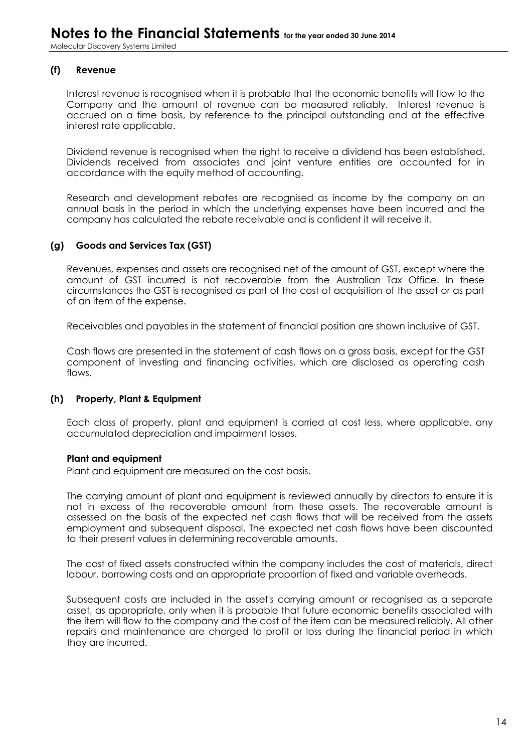### **(f) Revenue**

Interest revenue is recognised when it is probable that the economic benefits will flow to the Company and the amount of revenue can be measured reliably. Interest revenue is accrued on a time basis, by reference to the principal outstanding and at the effective interest rate applicable.

Dividend revenue is recognised when the right to receive a dividend has been established. Dividends received from associates and joint venture entities are accounted for in accordance with the equity method of accounting.

Research and development rebates are recognised as income by the company on an annual basis in the period in which the underlying expenses have been incurred and the company has calculated the rebate receivable and is confident it will receive it.

## **(g) Goods and Services Tax (GST)**

Revenues, expenses and assets are recognised net of the amount of GST, except where the amount of GST incurred is not recoverable from the Australian Tax Office. In these circumstances the GST is recognised as part of the cost of acquisition of the asset or as part of an item of the expense.

Receivables and payables in the statement of financial position are shown inclusive of GST.

Cash flows are presented in the statement of cash flows on a gross basis, except for the GST component of investing and financing activities, which are disclosed as operating cash flows.

#### **(h) Property, Plant & Equipment**

Each class of property, plant and equipment is carried at cost less, where applicable, any accumulated depreciation and impairment losses.

#### **Plant and equipment**

Plant and equipment are measured on the cost basis.

The carrying amount of plant and equipment is reviewed annually by directors to ensure it is not in excess of the recoverable amount from these assets. The recoverable amount is assessed on the basis of the expected net cash flows that will be received from the assets employment and subsequent disposal. The expected net cash flows have been discounted to their present values in determining recoverable amounts.

The cost of fixed assets constructed within the company includes the cost of materials, direct labour, borrowing costs and an appropriate proportion of fixed and variable overheads.

Subsequent costs are included in the asset's carrying amount or recognised as a separate asset, as appropriate, only when it is probable that future economic benefits associated with the item will flow to the company and the cost of the item can be measured reliably. All other repairs and maintenance are charged to profit or loss during the financial period in which they are incurred.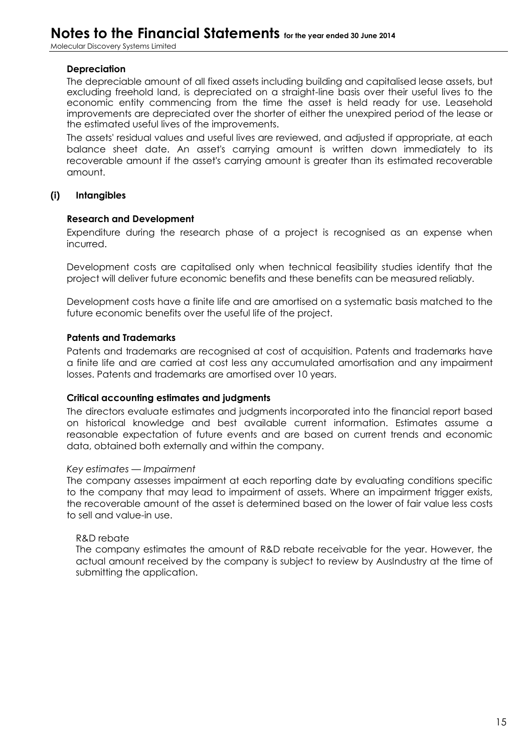### **Depreciation**

The depreciable amount of all fixed assets including building and capitalised lease assets, but excluding freehold land, is depreciated on a straight-line basis over their useful lives to the economic entity commencing from the time the asset is held ready for use. Leasehold improvements are depreciated over the shorter of either the unexpired period of the lease or the estimated useful lives of the improvements.

The assets' residual values and useful lives are reviewed, and adjusted if appropriate, at each balance sheet date. An asset's carrying amount is written down immediately to its recoverable amount if the asset's carrying amount is greater than its estimated recoverable amount.

## **(i) Intangibles**

### **Research and Development**

Expenditure during the research phase of a project is recognised as an expense when incurred.

Development costs are capitalised only when technical feasibility studies identify that the project will deliver future economic benefits and these benefits can be measured reliably.

Development costs have a finite life and are amortised on a systematic basis matched to the future economic benefits over the useful life of the project.

## **Patents and Trademarks**

Patents and trademarks are recognised at cost of acquisition. Patents and trademarks have a finite life and are carried at cost less any accumulated amortisation and any impairment losses. Patents and trademarks are amortised over 10 years.

#### **Critical accounting estimates and judgments**

The directors evaluate estimates and judgments incorporated into the financial report based on historical knowledge and best available current information. Estimates assume a reasonable expectation of future events and are based on current trends and economic data, obtained both externally and within the company.

#### *Key estimates — Impairment*

The company assesses impairment at each reporting date by evaluating conditions specific to the company that may lead to impairment of assets. Where an impairment trigger exists, the recoverable amount of the asset is determined based on the lower of fair value less costs to sell and value-in use.

#### R&D rebate

The company estimates the amount of R&D rebate receivable for the year. However, the actual amount received by the company is subject to review by AusIndustry at the time of submitting the application.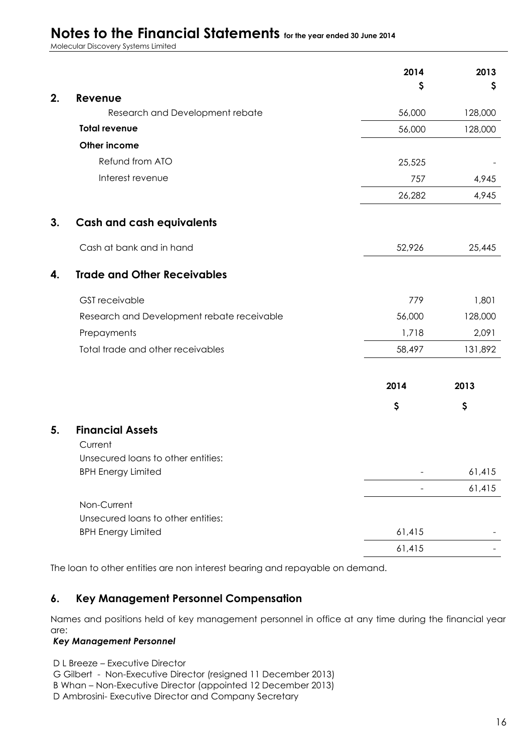# **Notes to the Financial Statements for the year ended 30 June 2014**

Molecular Discovery Systems Limited

|    |                                                                 | 2014<br>\$ | 2013<br>\$ |
|----|-----------------------------------------------------------------|------------|------------|
| 2. | Revenue                                                         |            |            |
|    | Research and Development rebate                                 | 56,000     | 128,000    |
|    | <b>Total revenue</b>                                            | 56,000     | 128,000    |
|    | Other income                                                    |            |            |
|    | Refund from ATO                                                 | 25,525     |            |
|    | Interest revenue                                                | 757        | 4,945      |
|    |                                                                 | 26,282     | 4,945      |
| 3. | <b>Cash and cash equivalents</b>                                |            |            |
|    | Cash at bank and in hand                                        | 52,926     | 25,445     |
| 4. | <b>Trade and Other Receivables</b>                              |            |            |
|    | <b>GST</b> receivable                                           | 779        | 1,801      |
|    | Research and Development rebate receivable                      | 56,000     | 128,000    |
|    | Prepayments                                                     | 1,718      | 2,091      |
|    | Total trade and other receivables                               | 58,497     | 131,892    |
|    |                                                                 | 2014       | 2013       |
|    |                                                                 | \$         | \$         |
| 5. | <b>Financial Assets</b>                                         |            |            |
|    | Current                                                         |            |            |
|    | Unsecured loans to other entities:                              |            |            |
|    | <b>BPH Energy Limited</b>                                       |            | 61,415     |
|    |                                                                 |            | 61,415     |
|    | Non-Current                                                     |            |            |
|    | Unsecured loans to other entities:<br><b>BPH Energy Limited</b> | 61,415     |            |
|    |                                                                 | 61,415     |            |
|    |                                                                 |            |            |

The loan to other entities are non interest bearing and repayable on demand.

# **6. Key Management Personnel Compensation**

Names and positions held of key management personnel in office at any time during the financial year are:

### *Key Management Personnel*

D L Breeze – Executive Director G Gilbert - Non-Executive Director (resigned 11 December 2013) B Whan – Non-Executive Director (appointed 12 December 2013) D Ambrosini- Executive Director and Company Secretary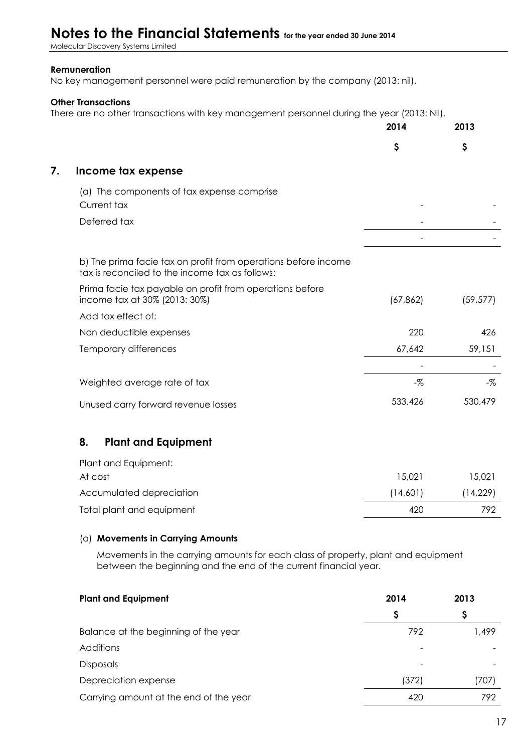#### **Remuneration**

No key management personnel were paid remuneration by the company (2013: nil).

### **Other Transactions**

There are no other transactions with key management personnel during the year (2013: Nil).

|    |                                                                                                                   | 2014      | 2013      |
|----|-------------------------------------------------------------------------------------------------------------------|-----------|-----------|
|    |                                                                                                                   | \$        | \$        |
| 7. | Income tax expense                                                                                                |           |           |
|    | (a) The components of tax expense comprise                                                                        |           |           |
|    | Current tax                                                                                                       |           |           |
|    | Deferred tax                                                                                                      |           |           |
|    |                                                                                                                   |           |           |
|    | b) The prima facie tax on profit from operations before income<br>tax is reconciled to the income tax as follows: |           |           |
|    | Prima facie tax payable on profit from operations before<br>income tax at 30% (2013: 30%)                         | (67, 862) | (59, 577) |
|    | Add tax effect of:                                                                                                |           |           |
|    | Non deductible expenses                                                                                           | 220       | 426       |
|    | <b>Temporary differences</b>                                                                                      | 67,642    | 59,151    |
|    |                                                                                                                   |           |           |
|    | Weighted average rate of tax                                                                                      | $-$ %     | $-\%$     |
|    | Unused carry forward revenue losses                                                                               | 533,426   | 530,479   |
|    | 8.<br><b>Plant and Equipment</b>                                                                                  |           |           |
|    | Plant and Equipment:                                                                                              |           |           |
|    | At cost                                                                                                           | 15,021    | 15,021    |
|    | Accumulated depreciation                                                                                          | (14,601)  | (14, 229) |
|    | Total plant and equipment                                                                                         | 420       | 792       |
|    |                                                                                                                   |           |           |

## (a) **Movements in Carrying Amounts**

 Movements in the carrying amounts for each class of property, plant and equipment between the beginning and the end of the current financial year.

| <b>Plant and Equipment</b>             | 2014  | 2013  |
|----------------------------------------|-------|-------|
|                                        | Ş     | Ş     |
| Balance at the beginning of the year   | 792   | 1,499 |
| <b>Additions</b>                       |       |       |
| <b>Disposals</b>                       |       |       |
| Depreciation expense                   | (372) | 707]  |
| Carrying amount at the end of the year | 420   | 792   |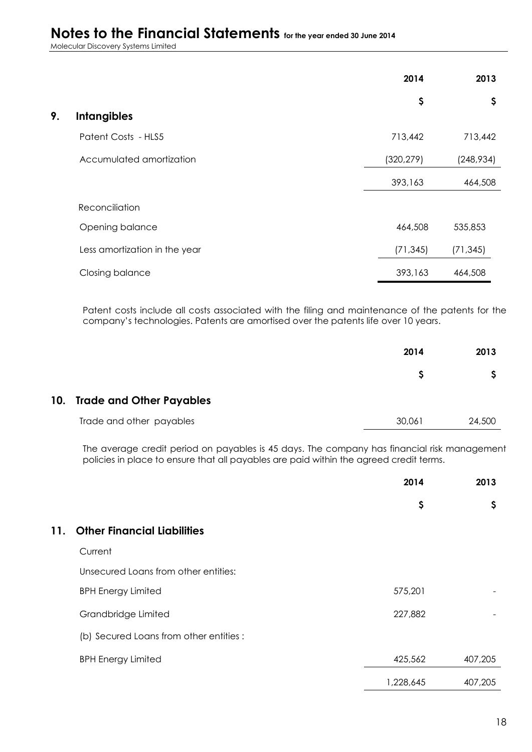**2014 2013 \$ \$ 9. Intangibles**  Patent Costs - HLS5 713,442 713,442 Accumulated amortization (320,279) (248,934) 393,163 464,508 Reconciliation Opening balance 61 and 535,853 and 535,853 and 535,853 and 535,853 and 535,853 and 535,853 and 535,853 and 535,853 and 535,853 and 535,853 and 535,853 and 535,853 and 535,853 and 535,853 and 535,853 and 535,853 and 535,853 Less amortization in the year (71,345) (71,345) Closing balance 393,163 464,508

Patent costs include all costs associated with the filing and maintenance of the patents for the company's technologies. Patents are amortised over the patents life over 10 years.

|     |                                 | 2014   | 2013   |
|-----|---------------------------------|--------|--------|
|     |                                 | S.     |        |
| 10. | <b>Trade and Other Payables</b> |        |        |
|     | Trade and other payables        | 30,061 | 24,500 |

The average credit period on payables is 45 days. The company has financial risk management policies in place to ensure that all payables are paid within the agreed credit terms.

|                                        | 2014      | 2013    |
|----------------------------------------|-----------|---------|
|                                        | \$        | Ş       |
| 11. Other Financial Liabilities        |           |         |
| Current                                |           |         |
| Unsecured Loans from other entities:   |           |         |
| <b>BPH Energy Limited</b>              | 575,201   |         |
| Grandbridge Limited                    | 227,882   |         |
| (b) Secured Loans from other entities: |           |         |
| <b>BPH Energy Limited</b>              | 425,562   | 407,205 |
|                                        | 1,228,645 | 407,205 |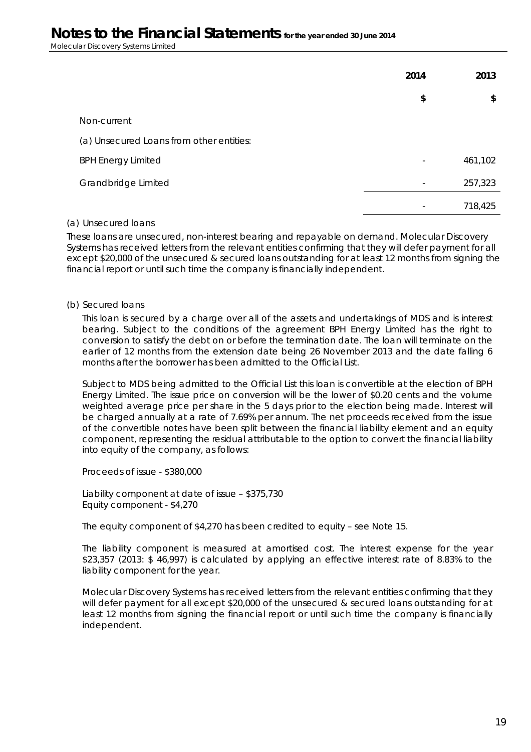|                                          | 2014                     | 2013    |
|------------------------------------------|--------------------------|---------|
|                                          | \$                       | \$      |
| Non-current                              |                          |         |
| (a) Unsecured Loans from other entities: |                          |         |
| <b>BPH Energy Limited</b>                | $\overline{\phantom{a}}$ | 461,102 |
| Grandbridge Limited                      | $\overline{\phantom{a}}$ | 257,323 |
|                                          |                          | 718,425 |

#### (a) Unsecured loans

These loans are unsecured, non-interest bearing and repayable on demand. Molecular Discovery Systems has received letters from the relevant entities confirming that they will defer payment for all except \$20,000 of the unsecured & secured loans outstanding for at least 12 months from signing the financial report or until such time the company is financially independent.

### (b) Secured loans

This loan is secured by a charge over all of the assets and undertakings of MDS and is interest bearing. Subject to the conditions of the agreement BPH Energy Limited has the right to conversion to satisfy the debt on or before the termination date. The loan will terminate on the earlier of 12 months from the extension date being 26 November 2013 and the date falling 6 months after the borrower has been admitted to the Official List.

Subject to MDS being admitted to the Official List this loan is convertible at the election of BPH Energy Limited. The issue price on conversion will be the lower of \$0.20 cents and the volume weighted average price per share in the 5 days prior to the election being made. Interest will be charged annually at a rate of 7.69% per annum. The net proceeds received from the issue of the convertible notes have been split between the financial liability element and an equity component, representing the residual attributable to the option to convert the financial liability into equity of the company, as follows:

Proceeds of issue - \$380,000

Liability component at date of issue – \$375,730 Equity component - \$4,270

The equity component of \$4,270 has been credited to equity – see Note 15.

The liability component is measured at amortised cost. The interest expense for the year \$23,357 (2013: \$46,997) is calculated by applying an effective interest rate of 8.83% to the liability component for the year.

Molecular Discovery Systems has received letters from the relevant entities confirming that they will defer payment for all except \$20,000 of the unsecured & secured loans outstanding for at least 12 months from signing the financial report or until such time the company is financially independent.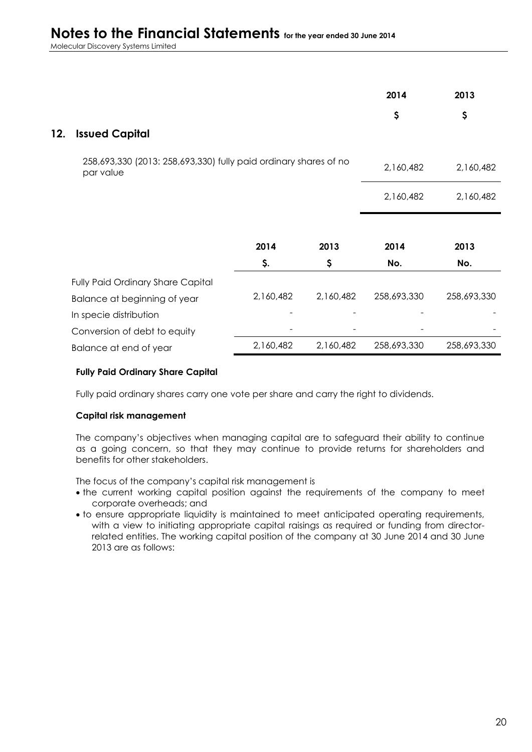**2014 2013 \$ \$ 12. Issued Capital** 258,693,330 (2013: 258,693,330) fully paid ordinary shares of no  $p$ ar value 2,160,482 2,160,482  $p$ ar value 2,160,482  $p$ ar value 2,160,482 2,160,482 **2014 2013 2014 2013 \$. \$ No. No.**  Fully Paid Ordinary Share Capital Balance at beginning of year 2,160,482 2,160,482 258,693,330 258,693,330 In specie distribution Conversion of debt to equity Balance at end of year 2,160,482 2,160,482 258,693,330 258,693,330

### **Fully Paid Ordinary Share Capital**

Fully paid ordinary shares carry one vote per share and carry the right to dividends.

## **Capital risk management**

The company's objectives when managing capital are to safeguard their ability to continue as a going concern, so that they may continue to provide returns for shareholders and benefits for other stakeholders.

The focus of the company's capital risk management is

- the current working capital position against the requirements of the company to meet corporate overheads; and
- to ensure appropriate liquidity is maintained to meet anticipated operating requirements, with a view to initiating appropriate capital raisings as required or funding from directorrelated entities. The working capital position of the company at 30 June 2014 and 30 June 2013 are as follows: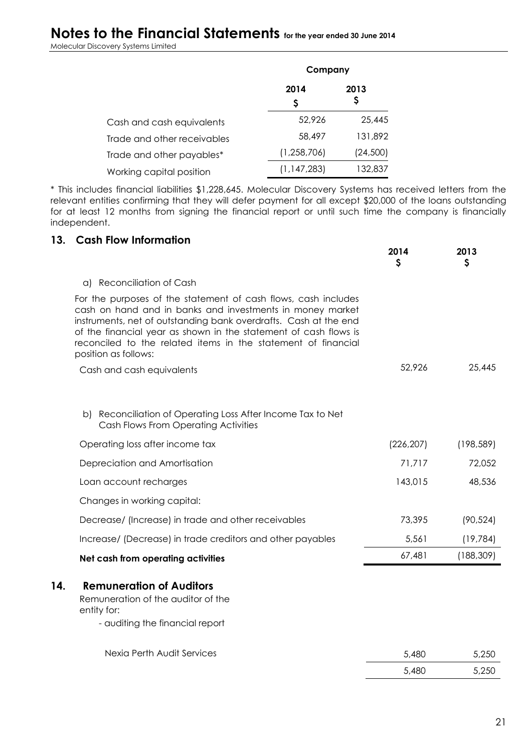|                             |               | Company    |  |  |
|-----------------------------|---------------|------------|--|--|
|                             | 2014<br>\$    | 2013<br>\$ |  |  |
| Cash and cash equivalents   | 52,926        | 25,445     |  |  |
| Trade and other receivables | 58,497        | 131,892    |  |  |
| Trade and other payables*   | (1, 258, 706) | (24,500)   |  |  |
| Working capital position    | (1, 147, 283) | 132.837    |  |  |

\* This includes financial liabilities \$1,228,645. Molecular Discovery Systems has received letters from the relevant entities confirming that they will defer payment for all except \$20,000 of the loans outstanding for at least 12 months from signing the financial report or until such time the company is financially independent.

# **13. Cash Flow Information 2014 2013 \$ \$** a) Reconciliation of Cash For the purposes of the statement of cash flows, cash includes cash on hand and in banks and investments in money market instruments, net of outstanding bank overdrafts. Cash at the end of the financial year as shown in the statement of cash flows is reconciled to the related items in the statement of financial position as follows: Cash and cash equivalents 62,926 25,445 b) Reconciliation of Operating Loss After Income Tax to Net Cash Flows From Operating Activities Operating loss after income tax (226,207) (198,589) Depreciation and Amortisation 71,717 72,052 Loan account recharges 143,015 48,536 Changes in working capital: Decrease/ (Increase) in trade and other receivables 73,395 (90,524) Increase/ (Decrease) in trade creditors and other payables 5,561 (19,784) **Net cash from operating activities Net cash from operating activities 67,481** (188,309) **14. Remuneration of Auditors** Remuneration of the auditor of the entity for: - auditing the financial report Nexia Perth Aud

| dit Services | 5,480 | 5,250 |
|--------------|-------|-------|
|              | 5,480 | 5,250 |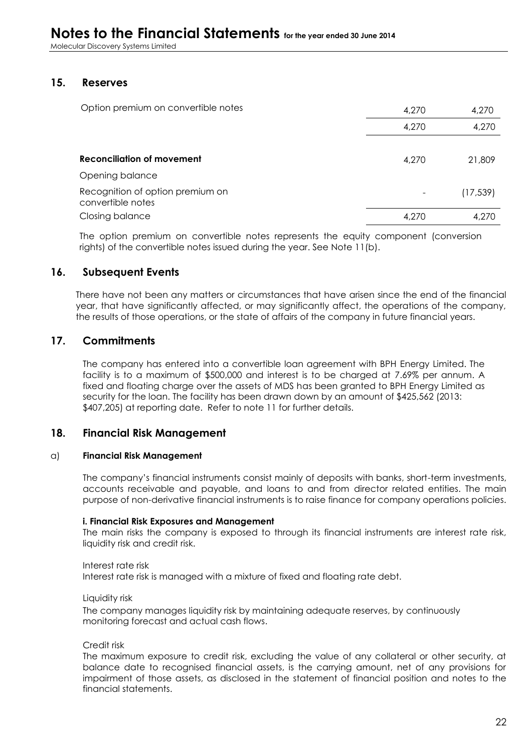### **15. Reserves**

| Option premium on convertible notes                   | 4,270 | 4,270     |
|-------------------------------------------------------|-------|-----------|
|                                                       | 4,270 | 4,270     |
| <b>Reconciliation of movement</b>                     | 4,270 | 21,809    |
| Opening balance                                       |       |           |
| Recognition of option premium on<br>convertible notes |       | (17, 539) |
| Closing balance                                       | 4,270 | 4,270     |

The option premium on convertible notes represents the equity component (conversion rights) of the convertible notes issued during the year. See Note 11(b).

## **16. Subsequent Events**

There have not been any matters or circumstances that have arisen since the end of the financial year, that have significantly affected, or may significantly affect, the operations of the company, the results of those operations, or the state of affairs of the company in future financial years.

## **17. Commitments**

The company has entered into a convertible loan agreement with BPH Energy Limited. The facility is to a maximum of \$500,000 and interest is to be charged at 7.69% per annum. A fixed and floating charge over the assets of MDS has been granted to BPH Energy Limited as security for the loan. The facility has been drawn down by an amount of \$425,562 (2013: \$407,205) at reporting date. Refer to note 11 for further details.

## **18. Financial Risk Management**

#### a) **Financial Risk Management**

The company's financial instruments consist mainly of deposits with banks, short-term investments, accounts receivable and payable, and loans to and from director related entities. The main purpose of non-derivative financial instruments is to raise finance for company operations policies.

#### **i. Financial Risk Exposures and Management**

The main risks the company is exposed to through its financial instruments are interest rate risk, liquidity risk and credit risk.

#### Interest rate risk

Interest rate risk is managed with a mixture of fixed and floating rate debt.

#### Liquidity risk

The company manages liquidity risk by maintaining adequate reserves, by continuously monitoring forecast and actual cash flows.

#### Credit risk

The maximum exposure to credit risk, excluding the value of any collateral or other security, at balance date to recognised financial assets, is the carrying amount, net of any provisions for impairment of those assets, as disclosed in the statement of financial position and notes to the financial statements.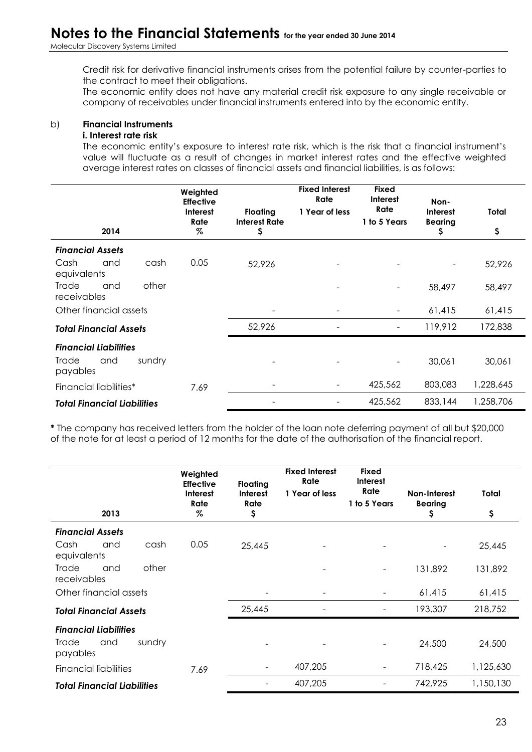Credit risk for derivative financial instruments arises from the potential failure by counter-parties to the contract to meet their obligations.

The economic entity does not have any material credit risk exposure to any single receivable or company of receivables under financial instruments entered into by the economic entity.

#### b) **Financial Instruments i. Interest rate risk**

The economic entity's exposure to interest rate risk, which is the risk that a financial instrument's value will fluctuate as a result of changes in market interest rates and the effective weighted average interest rates on classes of financial assets and financial liabilities, is as follows:

|                                    |      |        | Weighted<br><b>Effective</b> |                                         | <b>Fixed Interest</b><br>Rate | <b>Fixed</b><br><b>Interest</b> | Non-                              |           |
|------------------------------------|------|--------|------------------------------|-----------------------------------------|-------------------------------|---------------------------------|-----------------------------------|-----------|
|                                    |      |        | Interest<br>Rate             | <b>Floating</b><br><b>Interest Rate</b> | 1 Year of less                | Rate<br>1 to 5 Years            | <b>Interest</b><br><b>Bearing</b> | Total     |
|                                    | 2014 |        | %                            | \$                                      |                               |                                 | Ş                                 | \$        |
| <b>Financial Assets</b>            |      |        |                              |                                         |                               |                                 |                                   |           |
| Cash<br>equivalents                | and  | cash   | 0.05                         | 52,926                                  |                               |                                 |                                   | 52,926    |
| Trade<br>receivables               | and  | other  |                              |                                         |                               | Ξ.                              | 58,497                            | 58,497    |
| Other financial assets             |      |        |                              |                                         |                               |                                 | 61,415                            | 61,415    |
| <b>Total Financial Assets</b>      |      |        |                              | 52,926                                  |                               |                                 | 119,912                           | 172,838   |
| <b>Financial Liabilities</b>       |      |        |                              |                                         |                               |                                 |                                   |           |
| Trade<br>payables                  | and  | sundry |                              |                                         |                               |                                 | 30,061                            | 30,061    |
| Financial liabilities*             |      |        | 7.69                         | $\overline{\phantom{a}}$                | $\overline{\phantom{a}}$      | 425,562                         | 803,083                           | 1,228,645 |
| <b>Total Financial Liabilities</b> |      |        |                              |                                         |                               | 425,562                         | 833,144                           | 1,258,706 |

**\*** The company has received letters from the holder of the loan note deferring payment of all but \$20,000 of the note for at least a period of 12 months for the date of the authorisation of the financial report.

| 2013                                         |        | Weighted<br><b>Effective</b><br><b>Interest</b><br>Rate<br>% | <b>Floating</b><br>Interest<br>Rate<br>\$ | <b>Fixed Interest</b><br>Rate<br>1 Year of less | <b>Fixed</b><br>Interest<br>Rate<br>1 to 5 Years | Non-Interest<br><b>Bearing</b><br>Ş | <b>Total</b><br>\$ |
|----------------------------------------------|--------|--------------------------------------------------------------|-------------------------------------------|-------------------------------------------------|--------------------------------------------------|-------------------------------------|--------------------|
| <b>Financial Assets</b>                      |        |                                                              |                                           |                                                 |                                                  |                                     |                    |
| Cash<br>and<br>equivalents                   | cash   | 0.05                                                         | 25,445                                    |                                                 |                                                  |                                     | 25,445             |
| Trade<br>and<br>receivables                  | other  |                                                              |                                           |                                                 | $\overline{\phantom{a}}$                         | 131,892                             | 131,892            |
| Other financial assets                       |        |                                                              | -                                         |                                                 |                                                  | 61,415                              | 61,415             |
| <b>Total Financial Assets</b>                |        |                                                              | 25,445                                    |                                                 |                                                  | 193,307                             | 218,752            |
| <b>Financial Liabilities</b><br>Trade<br>and | sundry |                                                              |                                           |                                                 |                                                  | 24,500                              | 24,500             |
| payables                                     |        |                                                              |                                           |                                                 |                                                  |                                     |                    |
| <b>Financial liabilities</b>                 |        | 7.69                                                         | $\overline{\phantom{a}}$                  | 407,205                                         | $\overline{\phantom{a}}$                         | 718,425                             | 1,125,630          |
| <b>Total Financial Liabilities</b>           |        |                                                              | ۰                                         | 407,205                                         |                                                  | 742,925                             | 1,150,130          |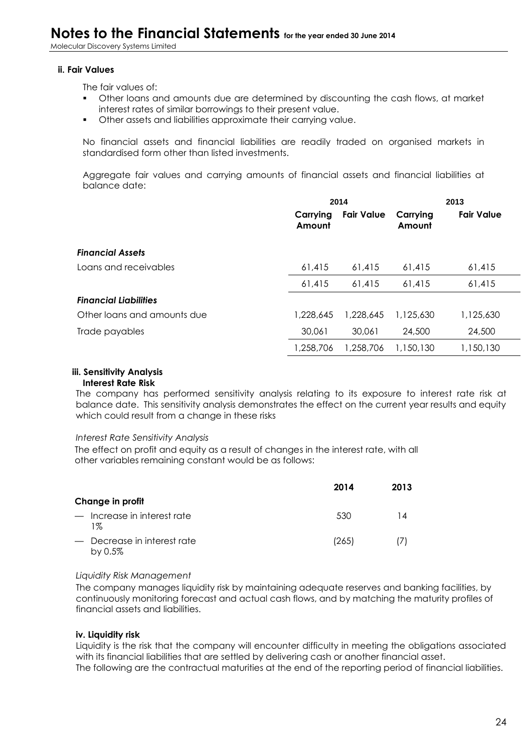#### **ii. Fair Values**

The fair values of:

- Other loans and amounts due are determined by discounting the cash flows, at market interest rates of similar borrowings to their present value.
- Other assets and liabilities approximate their carrying value.

No financial assets and financial liabilities are readily traded on organised markets in standardised form other than listed investments.

Aggregate fair values and carrying amounts of financial assets and financial liabilities at balance date:

|                              | 2014               |                   |                    | 2013              |
|------------------------------|--------------------|-------------------|--------------------|-------------------|
|                              | Carrying<br>Amount | <b>Fair Value</b> | Carrying<br>Amount | <b>Fair Value</b> |
| <b>Financial Assets</b>      |                    |                   |                    |                   |
| Loans and receivables        | 61,415             | 61,415            | 61,415             | 61.415            |
|                              | 61,415             | 61,415            | 61,415             | 61,415            |
| <b>Financial Liabilities</b> |                    |                   |                    |                   |
| Other loans and amounts due  | 1,228,645          | 1,228,645         | 1,125,630          | 1,125,630         |
| Trade payables               | 30,061             | 30,061            | 24,500             | 24,500            |
|                              | 1,258,706          | 1,258,706         | 1,150,130          | 1,150,130         |
|                              |                    |                   |                    |                   |

### **iii. Sensitivity Analysis**

#### **Interest Rate Risk**

The company has performed sensitivity analysis relating to its exposure to interest rate risk at balance date. This sensitivity analysis demonstrates the effect on the current year results and equity which could result from a change in these risks

#### *Interest Rate Sensitivity Analysis*

The effect on profit and equity as a result of changes in the interest rate, with all other variables remaining constant would be as follows:

|                                        | 2014  | 2013 |
|----------------------------------------|-------|------|
| Change in profit                       |       |      |
| — Increase in interest rate<br>$1\%$   | 530   | 14   |
| - Decrease in interest rate<br>by 0.5% | (265) |      |

#### *Liquidity Risk Management*

The company manages liquidity risk by maintaining adequate reserves and banking facilities, by continuously monitoring forecast and actual cash flows, and by matching the maturity profiles of financial assets and liabilities.

#### **iv. Liquidity risk**

Liquidity is the risk that the company will encounter difficulty in meeting the obligations associated with its financial liabilities that are settled by delivering cash or another financial asset. The following are the contractual maturities at the end of the reporting period of financial liabilities.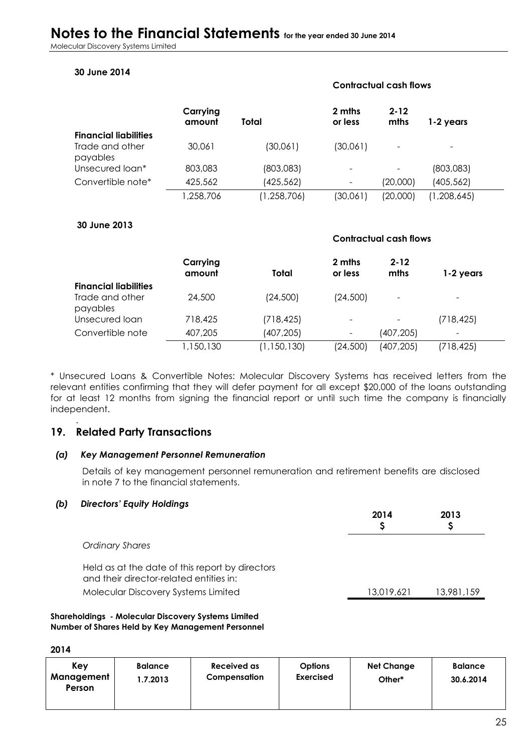### **30 June 2014**

#### **Carrying amount Total 2 mths or less 2-12 mths 1-2 years Financial liabilities**  Trade and other payables 30,061 (30,061) (30,061) Unsecured loan\* 803,083 (803,083) - - (803,083) Convertible note\* 425,562 (425,562) - (20,000) (405,562) 1,258,706 (1,258,706) (30,061) (20,000) (1,208,645) **30 June 2013 Contractual cash flows**

**Contractual cash flows** 

|                              | Carrying<br>amount | Total         | 2 mths<br>or less | $2 - 12$<br>mths | 1-2 years  |
|------------------------------|--------------------|---------------|-------------------|------------------|------------|
| <b>Financial liabilities</b> |                    |               |                   |                  |            |
| Trade and other<br>payables  | 24,500             | (24, 500)     | (24, 500)         |                  | -          |
| Unsecured loan               | 718,425            | (718, 425)    |                   |                  | (718, 425) |
| Convertible note             | 407,205            | (407, 205)    |                   | (407, 205)       | -          |
|                              | 1,150,130          | (1, 150, 130) | (24, 500)         | (407,205)        | (718,425)  |

\* Unsecured Loans & Convertible Notes: Molecular Discovery Systems has received letters from the relevant entities confirming that they will defer payment for all except \$20,000 of the loans outstanding for at least 12 months from signing the financial report or until such time the company is financially independent.

## **19. Related Party Transactions**

.

## *(a) Key Management Personnel Remuneration*

Details of key management personnel remuneration and retirement benefits are disclosed in note 7 to the financial statements.

## *(b) Directors' Equity Holdings*

|                                                                                            | 2014<br>S  | 2013       |
|--------------------------------------------------------------------------------------------|------------|------------|
| Ordinary Shares                                                                            |            |            |
| Held as at the date of this report by directors<br>and their director-related entities in: |            |            |
| Molecular Discovery Systems Limited                                                        | 13,019,621 | 13,981,159 |
|                                                                                            |            |            |

#### **Shareholdings - Molecular Discovery Systems Limited Number of Shares Held by Key Management Personnel**

| -<br>۰.<br>× |  |
|--------------|--|
|--------------|--|

| Kev<br>Management<br>Person | <b>Balance</b><br>1.7.2013 | Received as<br>Compensation | <b>Options</b><br><b>Exercised</b> | <b>Net Change</b><br>Other* | <b>Balance</b><br>30.6.2014 |
|-----------------------------|----------------------------|-----------------------------|------------------------------------|-----------------------------|-----------------------------|
|                             |                            |                             |                                    |                             |                             |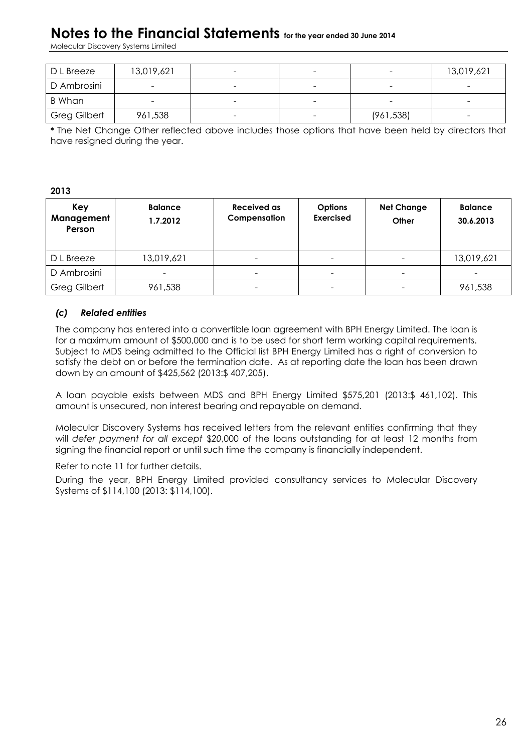# **Notes to the Financial Statements for the year ended 30 June 2014**

Molecular Discovery Systems Limited

| D L Breeze          | 13,019,621 | - | - |            | 13,019,621 |
|---------------------|------------|---|---|------------|------------|
| D Ambrosini         | -          | - | - |            | -          |
| B Whan              |            | - | - |            | -          |
| <b>Greg Gilbert</b> | 961,538    |   | - | (961, 538) |            |

**\*** The Net Change Other reflected above includes those options that have been held by directors that have resigned during the year.

**2013**

| Key<br>Management<br>Person | <b>Balance</b><br>1.7.2012 | Received as<br>Compensation  | Options<br><b>Exercised</b> | <b>Net Change</b><br>Other | <b>Balance</b><br>30.6.2013 |
|-----------------------------|----------------------------|------------------------------|-----------------------------|----------------------------|-----------------------------|
| D L Breeze                  | 13,019,621                 | $\overline{\phantom{a}}$     | $\overline{\phantom{0}}$    | -                          | 13,019,621                  |
| D Ambrosini                 | $\overline{\phantom{0}}$   | $\overline{\phantom{a}}$     | $\overline{\phantom{a}}$    | $\overline{\phantom{0}}$   |                             |
| <b>Greg Gilbert</b>         | 961,538                    | $\qquad \qquad \blacksquare$ |                             |                            | 961,538                     |

## *(c) Related entities*

The company has entered into a convertible loan agreement with BPH Energy Limited. The loan is for a maximum amount of \$500,000 and is to be used for short term working capital requirements. Subject to MDS being admitted to the Official list BPH Energy Limited has a right of conversion to satisfy the debt on or before the termination date. As at reporting date the loan has been drawn down by an amount of \$425,562 (2013:\$ 407,205).

A loan payable exists between MDS and BPH Energy Limited \$575,201 (2013:\$ 461,102). This amount is unsecured, non interest bearing and repayable on demand.

Molecular Discovery Systems has received letters from the relevant entities confirming that they will *defer payment for all except* \$*20*,000 of the loans outstanding for at least 12 months from signing the financial report or until such time the company is financially independent.

Refer to note 11 for further details.

During the year, BPH Energy Limited provided consultancy services to Molecular Discovery Systems of \$114,100 (2013: \$114,100).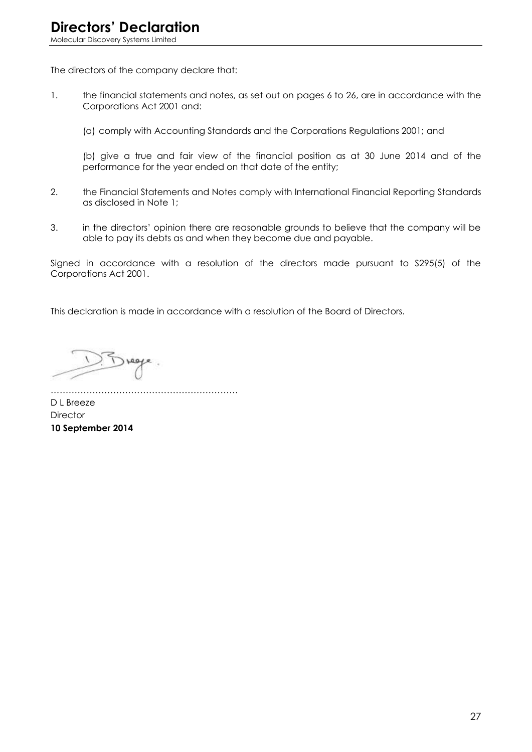The directors of the company declare that:

- 1. the financial statements and notes, as set out on pages 6 to 26, are in accordance with the Corporations Act 2001 and:
	- (a) comply with Accounting Standards and the Corporations Regulations 2001; and

(b) give a true and fair view of the financial position as at 30 June 2014 and of the performance for the year ended on that date of the entity;

- 2. the Financial Statements and Notes comply with International Financial Reporting Standards as disclosed in Note 1;
- 3. in the directors' opinion there are reasonable grounds to believe that the company will be able to pay its debts as and when they become due and payable.

Signed in accordance with a resolution of the directors made pursuant to S295(5) of the Corporations Act 2001.

This declaration is made in accordance with a resolution of the Board of Directors.

reage.

……………………………………………………… D L Breeze **Director 10 September 2014**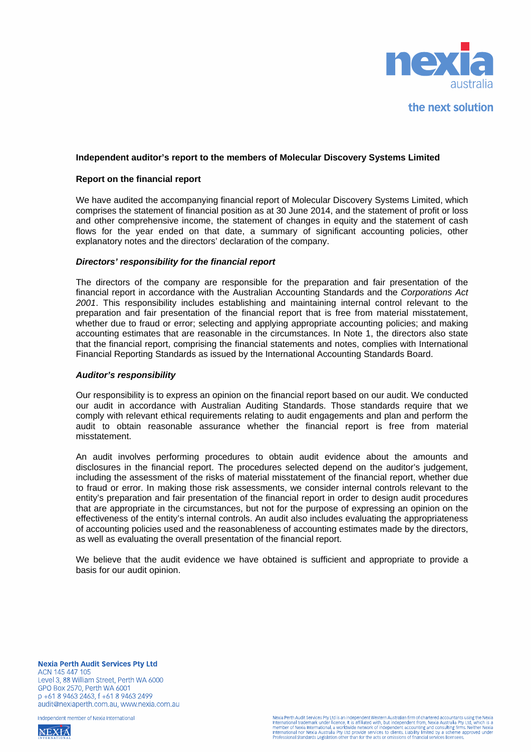

the next solution

#### **Independent auditor's report to the members of Molecular Discovery Systems Limited**

#### **Report on the financial report**

We have audited the accompanying financial report of Molecular Discovery Systems Limited, which comprises the statement of financial position as at 30 June 2014, and the statement of profit or loss and other comprehensive income, the statement of changes in equity and the statement of cash flows for the year ended on that date, a summary of significant accounting policies, other explanatory notes and the directors' declaration of the company.

#### *Directors' responsibility for the financial report*

The directors of the company are responsible for the preparation and fair presentation of the financial report in accordance with the Australian Accounting Standards and the *Corporations Act 2001*. This responsibility includes establishing and maintaining internal control relevant to the preparation and fair presentation of the financial report that is free from material misstatement, whether due to fraud or error; selecting and applying appropriate accounting policies; and making accounting estimates that are reasonable in the circumstances. In Note 1, the directors also state that the financial report, comprising the financial statements and notes, complies with International Financial Reporting Standards as issued by the International Accounting Standards Board.

#### *Auditor's responsibility*

Our responsibility is to express an opinion on the financial report based on our audit. We conducted our audit in accordance with Australian Auditing Standards. Those standards require that we comply with relevant ethical requirements relating to audit engagements and plan and perform the audit to obtain reasonable assurance whether the financial report is free from material misstatement.

An audit involves performing procedures to obtain audit evidence about the amounts and disclosures in the financial report. The procedures selected depend on the auditor's judgement, including the assessment of the risks of material misstatement of the financial report, whether due to fraud or error. In making those risk assessments, we consider internal controls relevant to the entity's preparation and fair presentation of the financial report in order to design audit procedures that are appropriate in the circumstances, but not for the purpose of expressing an opinion on the effectiveness of the entity's internal controls. An audit also includes evaluating the appropriateness of accounting policies used and the reasonableness of accounting estimates made by the directors, as well as evaluating the overall presentation of the financial report.

We believe that the audit evidence we have obtained is sufficient and appropriate to provide a basis for our audit opinion.

Independent member of Nexia International